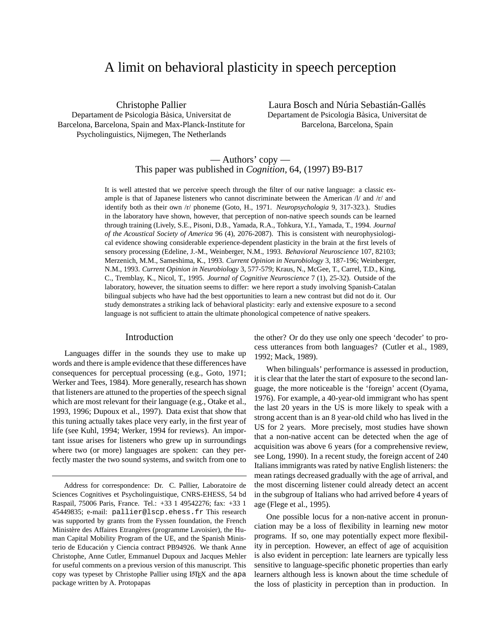# A limit on behavioral plasticity in speech perception

Christophe Pallier Departament de Psicologia Bàsica, Universitat de Barcelona, Barcelona, Spain and Max-Planck-Institute for Psycholinguistics, Nijmegen, The Netherlands

Laura Bosch and Núria Sebastián-Gallés Departament de Psicologia Bàsica, Universitat de Barcelona, Barcelona, Spain

## — Authors' copy — This paper was published in *Cognition*, 64, (1997) B9-B17

It is well attested that we perceive speech through the filter of our native language: a classic example is that of Japanese listeners who cannot discriminate between the American /l/ and /r/ and identify both as their own /r/ phoneme (Goto, H., 1971. *Neuropsychologia* 9, 317-323.). Studies in the laboratory have shown, however, that perception of non-native speech sounds can be learned through training (Lively, S.E., Pisoni, D.B., Yamada, R.A., Tohkura, Y.I., Yamada, T., 1994. *Journal of the Acoustical Society of America* 96 (4), 2076-2087). This is consistent with neurophysiological evidence showing considerable experience-dependent plasticity in the brain at the first levels of sensory processing (Edeline, J.-M., Weinberger, N.M., 1993. *Behavioral Neuroscience* 107, 82103; Merzenich, M.M., Sameshima, K., 1993. *Current Opinion in Neurobiology* 3, 187-196; Weinberger, N.M., 1993. *Current Opinion in Neurobiology* 3, 577-579; Kraus, N., McGee, T., Carrel, T.D., King, C., Tremblay, K., Nicol, T., 1995. *Journal of Cognitive Neuroscience* 7 (1), 25-32). Outside of the laboratory, however, the situation seems to differ: we here report a study involving Spanish-Catalan bilingual subjects who have had the best opportunities to learn a new contrast but did not do it. Our study demonstrates a striking lack of behavioral plasticity: early and extensive exposure to a second language is not sufficient to attain the ultimate phonological competence of native speakers.

#### Introduction

Languages differ in the sounds they use to make up words and there is ample evidence that these differences have consequences for perceptual processing (e.g., Goto, 1971; Werker and Tees, 1984). More generally, research has shown that listeners are attuned to the properties of the speech signal which are most relevant for their language (e.g., Otake et al., 1993, 1996; Dupoux et al., 1997). Data exist that show that this tuning actually takes place very early, in the first year of life (see Kuhl, 1994; Werker, 1994 for reviews). An important issue arises for listeners who grew up in surroundings where two (or more) languages are spoken: can they perfectly master the two sound systems, and switch from one to the other? Or do they use only one speech 'decoder' to process utterances from both languages? (Cutler et al., 1989, 1992; Mack, 1989).

When bilinguals' performance is assessed in production, it is clear that the later the start of exposure to the second language, the more noticeable is the 'foreign' accent (Oyama, 1976). For example, a 40-year-old immigrant who has spent the last 20 years in the US is more likely to speak with a strong accent than is an 8 year-old child who has lived in the US for 2 years. More precisely, most studies have shown that a non-native accent can be detected when the age of acquisition was above 6 years (for a comprehensive review, see Long, 1990). In a recent study, the foreign accent of 240 Italiansimmigrants was rated by native English listeners: the mean ratings decreased gradually with the age of arrival, and the most discerning listener could already detect an accent in the subgroup of Italians who had arrived before 4 years of age (Flege et al., 1995).

One possible locus for a non-native accent in pronunciation may be a loss of flexibility in learning new motor programs. If so, one may potentially expect more flexibility in perception. However, an effect of age of acquisition is also evident in perception: late learners are typically less sensitive to language-specific phonetic properties than early learners although less is known about the time schedule of the loss of plasticity in perception than in production. In

Address for correspondence: Dr. C. Pallier, Laboratoire de Sciences Cognitives et Psycholinguistique, CNRS-EHESS, 54 bd Raspail, 75006 Paris, France. Tel.: +33 1 49542276; fax: +33 1 45449835; e-mail: pallier@lscp.ehess.fr This research was supported by grants from the Fyssen foundation, the French Ministère des Affaires Etrangères (programme Lavoisier), the Human Capital Mobility Program of the UE, and the Spanish Ministerio de Educación y Ciencia contract PB94926. We thank Anne Christophe, Anne Cutler, Emmanuel Dupoux and Jacques Mehler for useful comments on a previous version of this manuscript. This copy was typeset by Christophe Pallier using LAT<sub>E</sub>X and the apa package written by A. Protopapas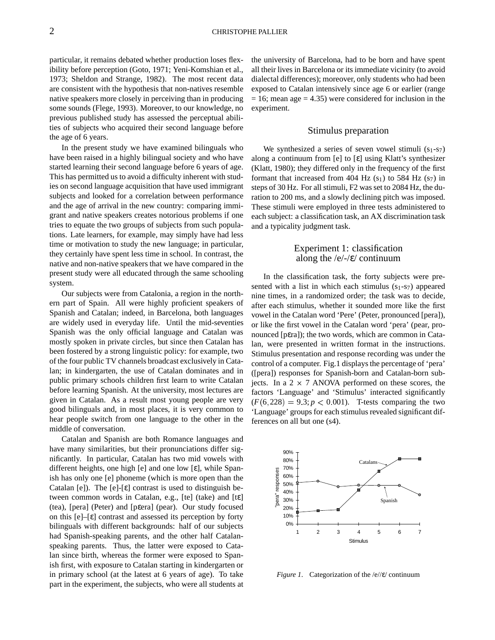particular, it remains debated whether production loses flexibility before perception (Goto, 1971; Yeni-Komshian et al., 1973; Sheldon and Strange, 1982). The most recent data are consistent with the hypothesis that non-natives resemble native speakers more closely in perceiving than in producing some sounds (Flege, 1993). Moreover, to our knowledge, no previous published study has assessed the perceptual abilities of subjects who acquired their second language before the age of 6 years.

In the present study we have examined bilinguals who have been raised in a highly bilingual society and who have started learning their second language before 6 years of age. This has permitted us to avoid a difficulty inherent with studies on second language acquisition that have used immigrant subjects and looked for a correlation between performance and the age of arrival in the new country: comparing immigrant and native speakers creates notorious problems if one tries to equate the two groups of subjects from such populations. Late learners, for example, may simply have had less time or motivation to study the new language; in particular, they certainly have spent less time in school. In contrast, the native and non-native speakers that we have compared in the present study were all educated through the same schooling system.

Our subjects were from Catalonia, a region in the northern part of Spain. All were highly proficient speakers of Spanish and Catalan; indeed, in Barcelona, both languages are widely used in everyday life. Until the mid-seventies Spanish was the only official language and Catalan was mostly spoken in private circles, but since then Catalan has been fostered by a strong linguistic policy: for example, two of the four public TV channels broadcast exclusively in Catalan; in kindergarten, the use of Catalan dominates and in public primary schools children first learn to write Catalan before learning Spanish. At the university, most lectures are given in Catalan. As a result most young people are very good bilinguals and, in most places, it is very common to hear people switch from one language to the other in the middle of conversation.

Catalan and Spanish are both Romance languages and have many similarities, but their pronunciations differ significantly. In particular, Catalan has two mid vowels with different heights, one high [e] and one low [ε], while Spanish has only one [e] phoneme (which is more open than the Catalan [e]). The [e]-[ε] contrast is used to distinguish between common words in Catalan, e.g., [te] (take) and [tε] (tea), [pera] (Peter) and [pεera] (pear). Our study focused on this  $[e]$ – $[\varepsilon]$  contrast and assessed its perception by forty bilinguals with different backgrounds: half of our subjects had Spanish-speaking parents, and the other half Catalanspeaking parents. Thus, the latter were exposed to Catalan since birth, whereas the former were exposed to Spanish first, with exposure to Catalan starting in kindergarten or in primary school (at the latest at 6 years of age). To take part in the experiment, the subjects, who were all students at the university of Barcelona, had to be born and have spent all their lives in Barcelona or its immediate vicinity (to avoid dialectal differences); moreover, only students who had been exposed to Catalan intensively since age 6 or earlier (range  $= 16$ ; mean age  $= 4.35$ ) were considered for inclusion in the experiment.

### Stimulus preparation

We synthesized a series of seven vowel stimuli  $(s_1-s_7)$ along a continuum from [e] to [ε] using Klatt's synthesizer (Klatt, 1980); they differed only in the frequency of the first formant that increased from 404 Hz  $(s_1)$  to 584 Hz  $(s_7)$  in steps of 30 Hz. For all stimuli, F2 was set to 2084 Hz, the duration to 200 ms, and a slowly declining pitch was imposed. These stimuli were employed in three tests administered to each subject: a classification task, an AX discrimination task and a typicality judgment task.

## Experiment 1: classification along the  $/e$ / $-e$ / continuum

In the classification task, the forty subjects were presented with a list in which each stimulus  $(s_1-s_7)$  appeared nine times, in a randomized order; the task was to decide, after each stimulus, whether it sounded more like the first vowel in the Catalan word 'Pere' (Peter, pronounced [pera]), or like the first vowel in the Catalan word 'pera' (pear, pronounced [pεra]); the two words, which are common in Catalan, were presented in written format in the instructions. Stimulus presentation and response recording was under the control of a computer. Fig.1 displays the percentage of 'pera' ([pera]) responses for Spanish-born and Catalan-born subjects. In a  $2 \times 7$  ANOVA performed on these scores, the factors 'Language' and 'Stimulus' interacted significantly  $(F(6, 228) = 9.3; p < 0.001)$ . T-tests comparing the two 'Language' groups for each stimulus revealed significant differences on all but one (s4).



*Figure 1*. Categorization of the /e//ε/ continuum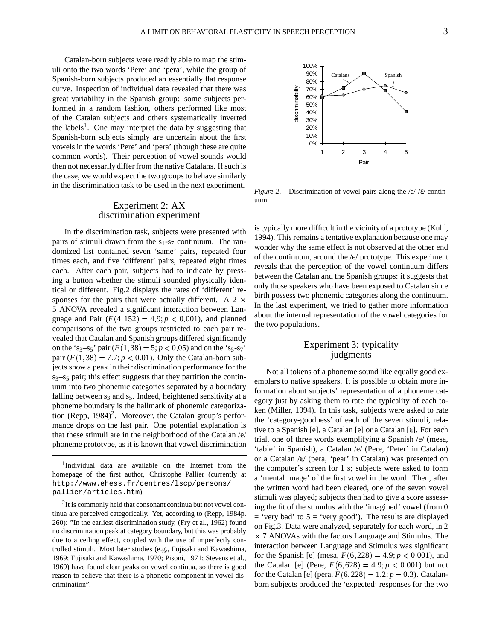Catalan-born subjects were readily able to map the stimuli onto the two words 'Pere' and 'pera', while the group of Spanish-born subjects produced an essentially flat response curve. Inspection of individual data revealed that there was great variability in the Spanish group: some subjects performed in a random fashion, others performed like most of the Catalan subjects and others systematically inverted the labels<sup>1</sup>. One may interpret the data by suggesting that Spanish-born subjects simply are uncertain about the first vowels in the words 'Pere' and 'pera' (though these are quite common words). Their perception of vowel sounds would then not necessarily differ from the native Catalans. If such is the case, we would expect the two groups to behave similarly in the discrimination task to be used in the next experiment.

## Experiment 2: AX discrimination experiment

In the discrimination task, subjects were presented with pairs of stimuli drawn from the  $s_1$ - $s_7$  continuum. The randomized list contained seven 'same' pairs, repeated four times each, and five 'different' pairs, repeated eight times each. After each pair, subjects had to indicate by pressing a button whether the stimuli sounded physically identical or different. Fig.2 displays the rates of 'different' responses for the pairs that were actually different. A 2  $\times$ 5 ANOVA revealed a significant interaction between Language and Pair  $(F(4, 152) = 4.9; p < 0.001)$ , and planned comparisons of the two groups restricted to each pair revealed that Catalan and Spanish groups differed significantly on the 's<sub>3</sub>-s<sub>5</sub>' pair  $(F(1, 38) = 5; p < 0.05)$  and on the 's<sub>5</sub>-s<sub>7</sub>' pair  $(F(1, 38) = 7.7; p < 0.01)$ . Only the Catalan-born subjects show a peak in their discrimination performance for the  $s_3$ – $s_5$  pair; this effect suggests that they partition the continuum into two phonemic categories separated by a boundary falling between  $s_3$  and  $s_5$ . Indeed, heightened sensitivity at a phoneme boundary is the hallmark of phonemic categorization (Repp,  $1984$ )<sup>2</sup>. Moreover, the Catalan group's performance drops on the last pair. One potential explanation is that these stimuli are in the neighborhood of the Catalan /e/ phoneme prototype, as it is known that vowel discrimination



*Figure 2*. Discrimination of vowel pairs along the /e/-/ε/ continuum

is typically more difficult in the vicinity of a prototype (Kuhl, 1994). This remains a tentative explanation because one may wonder why the same effect is not observed at the other end of the continuum, around the /e/ prototype. This experiment reveals that the perception of the vowel continuum differs between the Catalan and the Spanish groups: it suggests that only those speakers who have been exposed to Catalan since birth possess two phonemic categories along the continuum. In the last experiment, we tried to gather more information about the internal representation of the vowel categories for the two populations.

## Experiment 3: typicality judgments

Not all tokens of a phoneme sound like equally good exemplars to native speakers. It is possible to obtain more information about subjects' representation of a phoneme category just by asking them to rate the typicality of each token (Miller, 1994). In this task, subjects were asked to rate the 'category-goodness' of each of the seven stimuli, relative to a Spanish [e], a Catalan [e] or a Catalan [ε]. For each trial, one of three words exemplifying a Spanish /e/ (mesa, 'table' in Spanish), a Catalan /e/ (Pere, 'Peter' in Catalan) or a Catalan /ε/ (pera, 'pear' in Catalan) was presented on the computer's screen for 1 s; subjects were asked to form a 'mental image' of the first vowel in the word. Then, after the written word had been cleared, one of the seven vowel stimuli was played; subjects then had to give a score assessing the fit of the stimulus with the 'imagined' vowel (from 0  $=$  'very bad' to  $5 =$  'very good'). The results are displayed on Fig.3. Data were analyzed, separately for each word, in 2 7 ANOVAs with the factors Language and Stimulus. The interaction between Language and Stimulus was significant for the Spanish [e] (mesa,  $F(6, 228) = 4.9; p < 0.001$ ), and the Catalan [e] (Pere,  $F(6,628) = 4.9; p < 0.001$ ) but not for the Catalan [e] (pera,  $F(6,228) = 1.2$ ;  $p = 0.3$ ). Catalanborn subjects produced the 'expected' responses for the two

<sup>&</sup>lt;sup>1</sup>Individual data are available on the Internet from the homepage of the first author, Christophe Pallier (currently at http://www.ehess.fr/centres/lscp/persons/ pallier/articles.htm).

 $2$ It is commonly held that consonant continua but not vowel continua are perceived categorically. Yet, according to (Repp, 1984p. 260): "In the earliest discrimination study, (Fry et al., 1962) found no discrimination peak at category boundary, but this was probably due to a ceiling effect, coupled with the use of imperfectly controlled stimuli. Most later studies (e.g., Fujisaki and Kawashima, 1969; Fujisaki and Kawashima, 1970; Pisoni, 1971; Stevens et al., 1969) have found clear peaks on vowel continua, so there is good reason to believe that there is a phonetic component in vowel discrimination".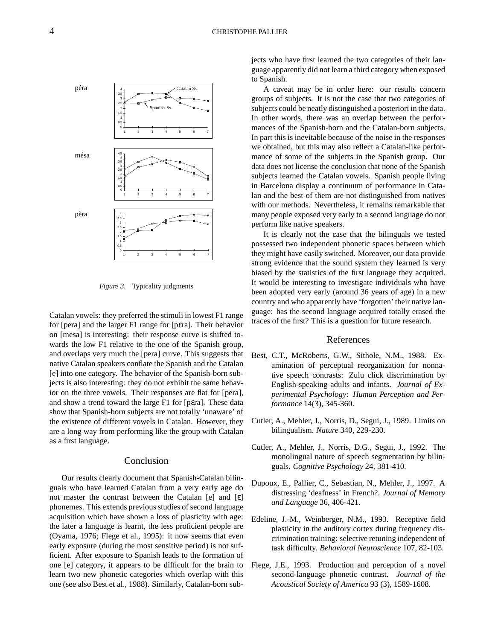

*Figure 3*. Typicality judgments

Catalan vowels: they preferred the stimuli in lowest  $F1$  range for [pera] and the larger F1 range for [pεra]. Their behavior on [mesa] is interesting: their response curve is shifted towards the low F1 relative to the one of the Spanish group, and overlaps very much the [pera] curve. This suggests that native Catalan speakers conflate the Spanish and the Catalan [e] into one category. The behavior of the Spanish-born subjects is also interesting: they do not exhibit the same behavior on the three vowels. Their responses are flat for [pera], and show a trend toward the large F1 for [pεra]. These data show that Spanish-born subjects are not totally 'unaware' of the existence of different vowels in Catalan. However, they are a long way from performing like the group with Catalan as a first language.

### Conclusion

Our results clearly document that Spanish-Catalan bilinguals who have learned Catalan from a very early age do not master the contrast between the Catalan [e] and [ε] phonemes. This extends previous studies of second language acquisition which have shown a loss of plasticity with age: the later a language is learnt, the less proficient people are (Oyama, 1976; Flege et al., 1995): it now seems that even early exposure (during the most sensitive period) is not sufficient. After exposure to Spanish leads to the formation of one [e] category, it appears to be difficult for the brain to learn two new phonetic categories which overlap with this one (see also Best et al., 1988). Similarly, Catalan-born subjects who have first learned the two categories of their language apparently did not learn a third category when exposed to Spanish.

A caveat may be in order here: our results concern groups of subjects. It is not the case that two categories of subjects could be neatly distinguished a posteriori in the data. In other words, there was an overlap between the performances of the Spanish-born and the Catalan-born subjects. In part this is inevitable because of the noise in the responses we obtained, but this may also reflect a Catalan-like performance of some of the subjects in the Spanish group. Our data does not license the conclusion that none of the Spanish subjects learned the Catalan vowels. Spanish people living in Barcelona display a continuum of performance in Catalan and the best of them are not distinguished from natives with our methods. Nevertheless, it remains remarkable that many people exposed very early to a second language do not perform like native speakers.

It is clearly not the case that the bilinguals we tested possessed two independent phonetic spaces between which they might have easily switched. Moreover, our data provide strong evidence that the sound system they learned is very biased by the statistics of the first language they acquired. It would be interesting to investigate individuals who have been adopted very early (around 36 years of age) in a new country and who apparently have 'forgotten' their native language: has the second language acquired totally erased the traces of the first? This is a question for future research.

### References

- Best, C.T., McRoberts, G.W., Sithole, N.M., 1988. Examination of perceptual reorganization for nonnative speech contrasts: Zulu click discrimination by English-speaking adults and infants. *Journal of Experimental Psychology: Human Perception and Performance* 14(3), 345-360.
- Cutler, A., Mehler, J., Norris, D., Segui, J., 1989. Limits on bilingualism. *Nature* 340, 229-230.
- Cutler, A., Mehler, J., Norris, D.G., Segui, J., 1992. The monolingual nature of speech segmentation by bilinguals. *Cognitive Psychology* 24, 381-410.
- Dupoux, E., Pallier, C., Sebastian, N., Mehler, J., 1997. A distressing 'deafness' in French?. *Journal of Memory and Language* 36, 406-421.
- Edeline, J.-M., Weinberger, N.M., 1993. Receptive field plasticity in the auditory cortex during frequency discrimination training: selective retuning independent of task difficulty. *Behavioral Neuroscience* 107, 82-103.
- Flege, J.E., 1993. Production and perception of a novel second-language phonetic contrast. *Journal of the Acoustical Society of America* 93 (3), 1589-1608.